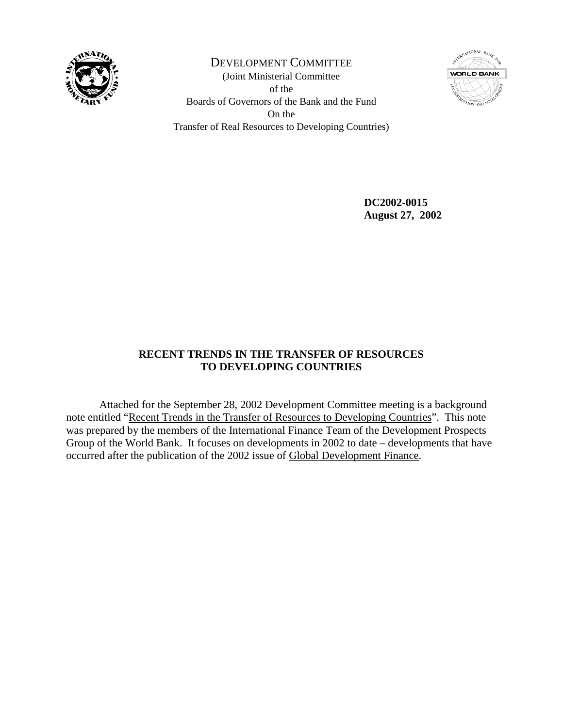

DEVELOPMENT COMMITTEE (Joint Ministerial Committee of the Boards of Governors of the Bank and the Fund On the Transfer of Real Resources to Developing Countries)



 **DC2002-0015 August 27, 2002** 

# **RECENT TRENDS IN THE TRANSFER OF RESOURCES TO DEVELOPING COUNTRIES**

 Attached for the September 28, 2002 Development Committee meeting is a background note entitled "Recent Trends in the Transfer of Resources to Developing Countries". This note was prepared by the members of the International Finance Team of the Development Prospects Group of the World Bank. It focuses on developments in 2002 to date – developments that have occurred after the publication of the 2002 issue of Global Development Finance.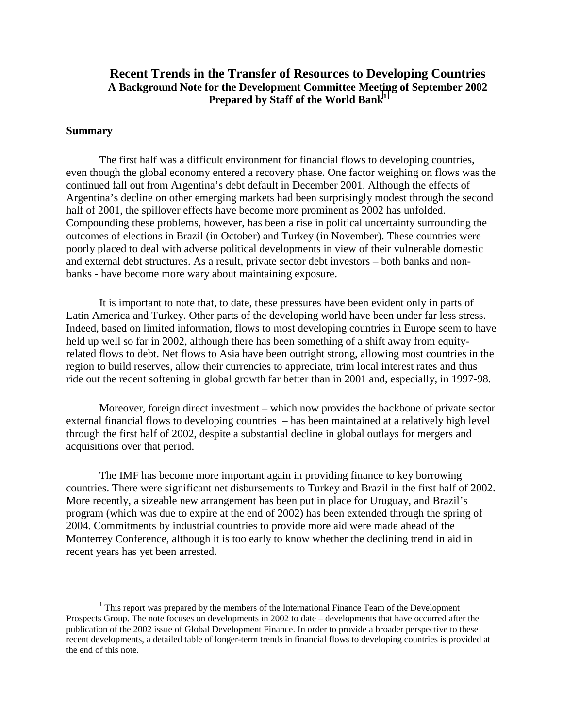## **Recent Trends in the Transfer of Resources to Developing Countries A Background Note for the Development Committee Meeting of September 2002**  Prepared by Staff of the World Bank<sup>1</sup>

### **Summary**

 $\overline{a}$ 

 The first half was a difficult environment for financial flows to developing countries, even though the global economy entered a recovery phase. One factor weighing on flows was the continued fall out from Argentina's debt default in December 2001. Although the effects of Argentina's decline on other emerging markets had been surprisingly modest through the second half of 2001, the spillover effects have become more prominent as 2002 has unfolded. Compounding these problems, however, has been a rise in political uncertainty surrounding the outcomes of elections in Brazil (in October) and Turkey (in November). These countries were poorly placed to deal with adverse political developments in view of their vulnerable domestic and external debt structures. As a result, private sector debt investors – both banks and nonbanks - have become more wary about maintaining exposure.

It is important to note that, to date, these pressures have been evident only in parts of Latin America and Turkey. Other parts of the developing world have been under far less stress. Indeed, based on limited information, flows to most developing countries in Europe seem to have held up well so far in 2002, although there has been something of a shift away from equityrelated flows to debt. Net flows to Asia have been outright strong, allowing most countries in the region to build reserves, allow their currencies to appreciate, trim local interest rates and thus ride out the recent softening in global growth far better than in 2001 and, especially, in 1997-98.

Moreover, foreign direct investment – which now provides the backbone of private sector external financial flows to developing countries – has been maintained at a relatively high level through the first half of 2002, despite a substantial decline in global outlays for mergers and acquisitions over that period.

The IMF has become more important again in providing finance to key borrowing countries. There were significant net disbursements to Turkey and Brazil in the first half of 2002. More recently, a sizeable new arrangement has been put in place for Uruguay, and Brazil's program (which was due to expire at the end of 2002) has been extended through the spring of 2004. Commitments by industrial countries to provide more aid were made ahead of the Monterrey Conference, although it is too early to know whether the declining trend in aid in recent years has yet been arrested.

 $<sup>1</sup>$  This report was prepared by the members of the International Finance Team of the Development</sup> Prospects Group. The note focuses on developments in 2002 to date – developments that have occurred after the publication of the 2002 issue of Global Development Finance. In order to provide a broader perspective to these recent developments, a detailed table of longer-term trends in financial flows to developing countries is provided at the end of this note.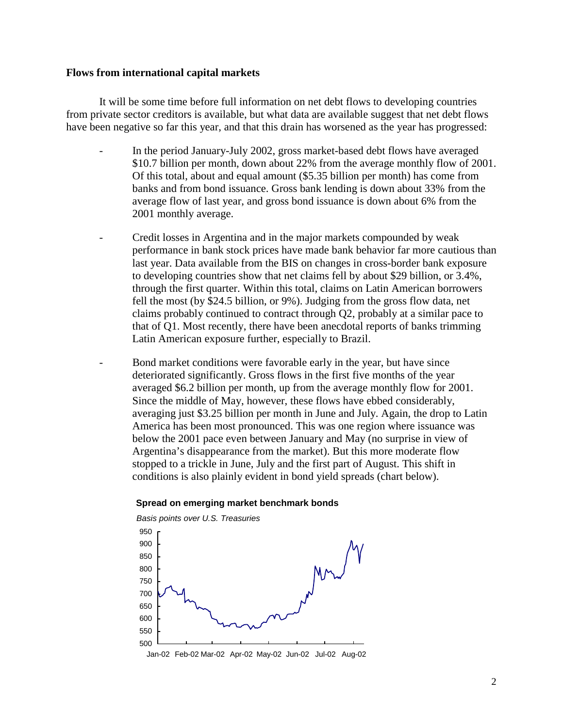### **Flows from international capital markets**

It will be some time before full information on net debt flows to developing countries from private sector creditors is available, but what data are available suggest that net debt flows have been negative so far this year, and that this drain has worsened as the year has progressed:

- In the period January-July 2002, gross market-based debt flows have averaged \$10.7 billion per month, down about 22% from the average monthly flow of 2001. Of this total, about and equal amount (\$5.35 billion per month) has come from banks and from bond issuance. Gross bank lending is down about 33% from the average flow of last year, and gross bond issuance is down about 6% from the 2001 monthly average.
- Credit losses in Argentina and in the major markets compounded by weak performance in bank stock prices have made bank behavior far more cautious than last year. Data available from the BIS on changes in cross-border bank exposure to developing countries show that net claims fell by about \$29 billion, or 3.4%, through the first quarter. Within this total, claims on Latin American borrowers fell the most (by \$24.5 billion, or 9%). Judging from the gross flow data, net claims probably continued to contract through Q2, probably at a similar pace to that of Q1. Most recently, there have been anecdotal reports of banks trimming Latin American exposure further, especially to Brazil.
- Bond market conditions were favorable early in the year, but have since deteriorated significantly. Gross flows in the first five months of the year averaged \$6.2 billion per month, up from the average monthly flow for 2001. Since the middle of May, however, these flows have ebbed considerably, averaging just \$3.25 billion per month in June and July. Again, the drop to Latin America has been most pronounced. This was one region where issuance was below the 2001 pace even between January and May (no surprise in view of Argentina's disappearance from the market). But this more moderate flow stopped to a trickle in June, July and the first part of August. This shift in conditions is also plainly evident in bond yield spreads (chart below).

#### **Spread on emerging market benchmark bonds**

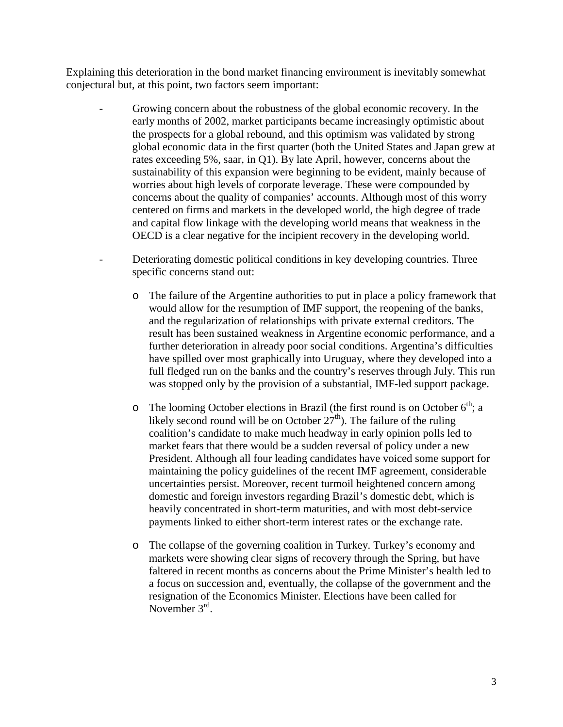Explaining this deterioration in the bond market financing environment is inevitably somewhat conjectural but, at this point, two factors seem important:

- Growing concern about the robustness of the global economic recovery. In the early months of 2002, market participants became increasingly optimistic about the prospects for a global rebound, and this optimism was validated by strong global economic data in the first quarter (both the United States and Japan grew at rates exceeding 5%, saar, in Q1). By late April, however, concerns about the sustainability of this expansion were beginning to be evident, mainly because of worries about high levels of corporate leverage. These were compounded by concerns about the quality of companies' accounts. Although most of this worry centered on firms and markets in the developed world, the high degree of trade and capital flow linkage with the developing world means that weakness in the OECD is a clear negative for the incipient recovery in the developing world.
- Deteriorating domestic political conditions in key developing countries. Three specific concerns stand out:
	- o The failure of the Argentine authorities to put in place a policy framework that would allow for the resumption of IMF support, the reopening of the banks, and the regularization of relationships with private external creditors. The result has been sustained weakness in Argentine economic performance, and a further deterioration in already poor social conditions. Argentina's difficulties have spilled over most graphically into Uruguay, where they developed into a full fledged run on the banks and the country's reserves through July. This run was stopped only by the provision of a substantial, IMF-led support package.
	- o The looming October elections in Brazil (the first round is on October  $6<sup>th</sup>$ ; a likely second round will be on October  $27<sup>th</sup>$ ). The failure of the ruling coalition's candidate to make much headway in early opinion polls led to market fears that there would be a sudden reversal of policy under a new President. Although all four leading candidates have voiced some support for maintaining the policy guidelines of the recent IMF agreement, considerable uncertainties persist. Moreover, recent turmoil heightened concern among domestic and foreign investors regarding Brazil's domestic debt, which is heavily concentrated in short-term maturities, and with most debt-service payments linked to either short-term interest rates or the exchange rate.
	- o The collapse of the governing coalition in Turkey. Turkey's economy and markets were showing clear signs of recovery through the Spring, but have faltered in recent months as concerns about the Prime Minister's health led to a focus on succession and, eventually, the collapse of the government and the resignation of the Economics Minister. Elections have been called for November 3<sup>rd</sup>.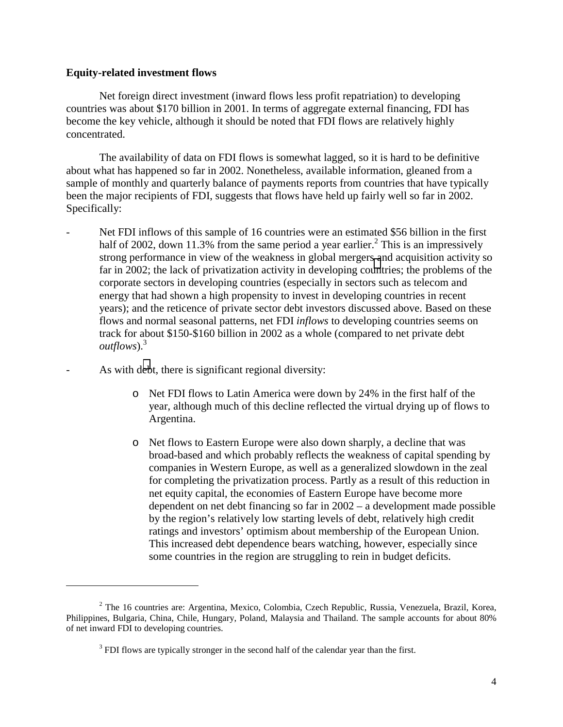### **Equity-related investment flows**

1

Net foreign direct investment (inward flows less profit repatriation) to developing countries was about \$170 billion in 2001. In terms of aggregate external financing, FDI has become the key vehicle, although it should be noted that FDI flows are relatively highly concentrated.

The availability of data on FDI flows is somewhat lagged, so it is hard to be definitive about what has happened so far in 2002. Nonetheless, available information, gleaned from a sample of monthly and quarterly balance of payments reports from countries that have typically been the major recipients of FDI, suggests that flows have held up fairly well so far in 2002. Specifically:

- Net FDI inflows of this sample of 16 countries were an estimated \$56 billion in the first half of 2002, down 11.3% from the same period a year earlier.<sup>2</sup> This is an impressively strong performance in view of the weakness in global mergers and acquisition activity so far in 2002; the lack of privatization activity in developing countries; the problems of the corporate sectors in developing countries (especially in sectors such as telecom and energy that had shown a high propensity to invest in developing countries in recent years); and the reticence of private sector debt investors discussed above. Based on these flows and normal seasonal patterns, net FDI *inflows* to developing countries seems on track for about \$150-\$160 billion in 2002 as a whole (compared to net private debt *outflows*).<sup>3</sup>
	- As with debt, there is significant regional diversity:
		- o Net FDI flows to Latin America were down by 24% in the first half of the year, although much of this decline reflected the virtual drying up of flows to Argentina.
		- o Net flows to Eastern Europe were also down sharply, a decline that was broad-based and which probably reflects the weakness of capital spending by companies in Western Europe, as well as a generalized slowdown in the zeal for completing the privatization process. Partly as a result of this reduction in net equity capital, the economies of Eastern Europe have become more dependent on net debt financing so far in 2002 – a development made possible by the region's relatively low starting levels of debt, relatively high credit ratings and investors' optimism about membership of the European Union. This increased debt dependence bears watching, however, especially since some countries in the region are struggling to rein in budget deficits.

<sup>&</sup>lt;sup>2</sup> The 16 countries are: Argentina, Mexico, Colombia, Czech Republic, Russia, Venezuela, Brazil, Korea, Philippines, Bulgaria, China, Chile, Hungary, Poland, Malaysia and Thailand. The sample accounts for about 80% of net inward FDI to developing countries.

 $3$  FDI flows are typically stronger in the second half of the calendar year than the first.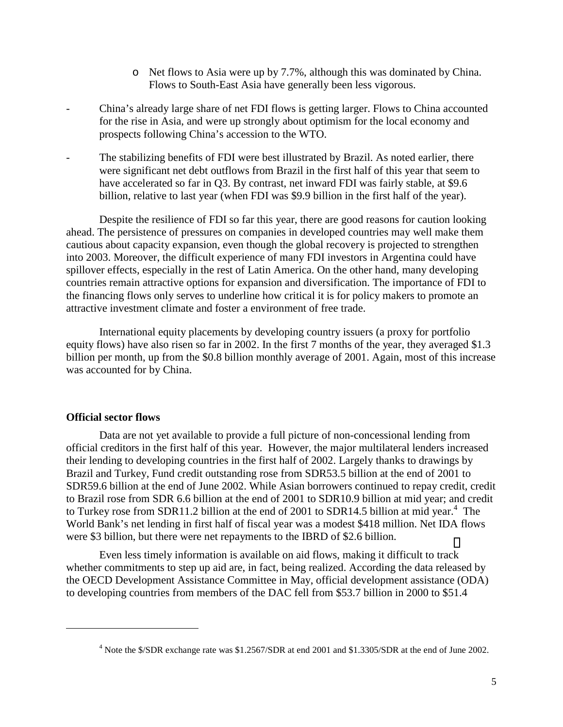- o Net flows to Asia were up by 7.7%, although this was dominated by China. Flows to South-East Asia have generally been less vigorous.
- China's already large share of net FDI flows is getting larger. Flows to China accounted for the rise in Asia, and were up strongly about optimism for the local economy and prospects following China's accession to the WTO.
- The stabilizing benefits of FDI were best illustrated by Brazil. As noted earlier, there were significant net debt outflows from Brazil in the first half of this year that seem to have accelerated so far in Q3. By contrast, net inward FDI was fairly stable, at \$9.6 billion, relative to last year (when FDI was \$9.9 billion in the first half of the year).

Despite the resilience of FDI so far this year, there are good reasons for caution looking ahead. The persistence of pressures on companies in developed countries may well make them cautious about capacity expansion, even though the global recovery is projected to strengthen into 2003. Moreover, the difficult experience of many FDI investors in Argentina could have spillover effects, especially in the rest of Latin America. On the other hand, many developing countries remain attractive options for expansion and diversification. The importance of FDI to the financing flows only serves to underline how critical it is for policy makers to promote an attractive investment climate and foster a environment of free trade.

International equity placements by developing country issuers (a proxy for portfolio equity flows) have also risen so far in 2002. In the first 7 months of the year, they averaged \$1.3 billion per month, up from the \$0.8 billion monthly average of 2001. Again, most of this increase was accounted for by China.

## **Official sector flows**

1

Data are not yet available to provide a full picture of non-concessional lending from official creditors in the first half of this year. However, the major multilateral lenders increased their lending to developing countries in the first half of 2002. Largely thanks to drawings by Brazil and Turkey, Fund credit outstanding rose from SDR53.5 billion at the end of 2001 to SDR59.6 billion at the end of June 2002. While Asian borrowers continued to repay credit, credit to Brazil rose from SDR 6.6 billion at the end of 2001 to SDR10.9 billion at mid year; and credit to Turkey rose from SDR11.2 billion at the end of 2001 to SDR14.5 billion at mid year.<sup>4</sup> The World Bank's net lending in first half of fiscal year was a modest \$418 million. Net IDA flows were \$3 billion, but there were net repayments to the IBRD of \$2.6 billion.

Even less timely information is available on aid flows, making it difficult to track whether commitments to step up aid are, in fact, being realized. According the data released by the OECD Development Assistance Committee in May, official development assistance (ODA) to developing countries from members of the DAC fell from \$53.7 billion in 2000 to \$51.4

<sup>&</sup>lt;sup>4</sup> Note the \$/SDR exchange rate was \$1.2567/SDR at end 2001 and \$1.3305/SDR at the end of June 2002.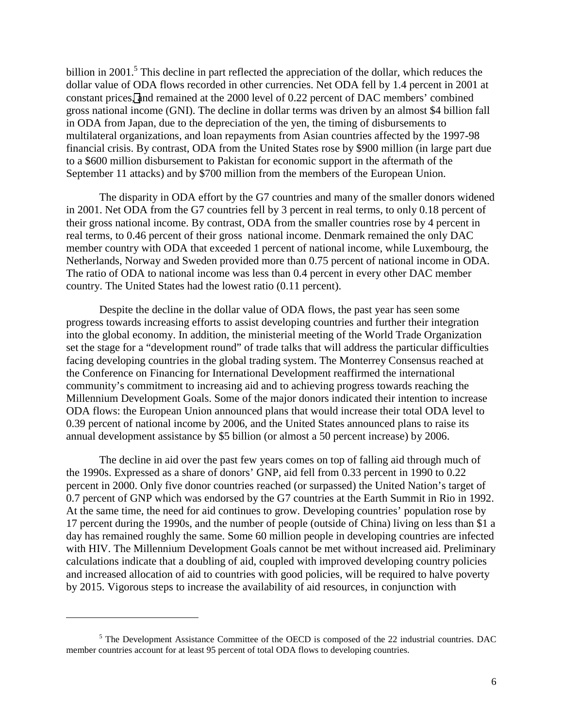billion in 2001.<sup>5</sup> This decline in part reflected the appreciation of the dollar, which reduces the dollar value of ODA flows recorded in other currencies. Net ODA fell by 1.4 percent in 2001 at constant prices, and remained at the 2000 level of 0.22 percent of DAC members' combined gross national income (GNI). The decline in dollar terms was driven by an almost \$4 billion fall in ODA from Japan, due to the depreciation of the yen, the timing of disbursements to multilateral organizations, and loan repayments from Asian countries affected by the 1997-98 financial crisis. By contrast, ODA from the United States rose by \$900 million (in large part due to a \$600 million disbursement to Pakistan for economic support in the aftermath of the September 11 attacks) and by \$700 million from the members of the European Union.

The disparity in ODA effort by the G7 countries and many of the smaller donors widened in 2001. Net ODA from the G7 countries fell by 3 percent in real terms, to only 0.18 percent of their gross national income. By contrast, ODA from the smaller countries rose by 4 percent in real terms, to 0.46 percent of their gross national income. Denmark remained the only DAC member country with ODA that exceeded 1 percent of national income, while Luxembourg, the Netherlands, Norway and Sweden provided more than 0.75 percent of national income in ODA. The ratio of ODA to national income was less than 0.4 percent in every other DAC member country. The United States had the lowest ratio (0.11 percent).

Despite the decline in the dollar value of ODA flows, the past year has seen some progress towards increasing efforts to assist developing countries and further their integration into the global economy. In addition, the ministerial meeting of the World Trade Organization set the stage for a "development round" of trade talks that will address the particular difficulties facing developing countries in the global trading system. The Monterrey Consensus reached at the Conference on Financing for International Development reaffirmed the international community's commitment to increasing aid and to achieving progress towards reaching the Millennium Development Goals. Some of the major donors indicated their intention to increase ODA flows: the European Union announced plans that would increase their total ODA level to 0.39 percent of national income by 2006, and the United States announced plans to raise its annual development assistance by \$5 billion (or almost a 50 percent increase) by 2006.

The decline in aid over the past few years comes on top of falling aid through much of the 1990s. Expressed as a share of donors' GNP, aid fell from 0.33 percent in 1990 to 0.22 percent in 2000. Only five donor countries reached (or surpassed) the United Nation's target of 0.7 percent of GNP which was endorsed by the G7 countries at the Earth Summit in Rio in 1992. At the same time, the need for aid continues to grow. Developing countries' population rose by 17 percent during the 1990s, and the number of people (outside of China) living on less than \$1 a day has remained roughly the same. Some 60 million people in developing countries are infected with HIV. The Millennium Development Goals cannot be met without increased aid. Preliminary calculations indicate that a doubling of aid, coupled with improved developing country policies and increased allocation of aid to countries with good policies, will be required to halve poverty by 2015. Vigorous steps to increase the availability of aid resources, in conjunction with

1

 $<sup>5</sup>$  The Development Assistance Committee of the OECD is composed of the 22 industrial countries. DAC</sup> member countries account for at least 95 percent of total ODA flows to developing countries.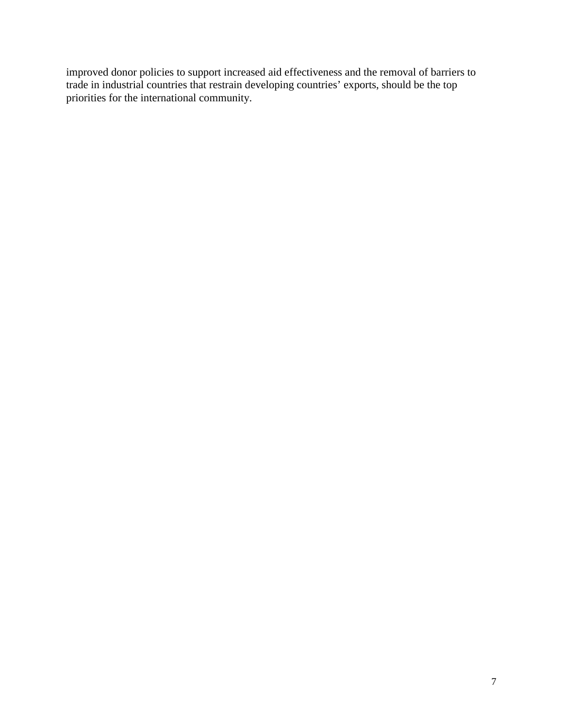improved donor policies to support increased aid effectiveness and the removal of barriers to trade in industrial countries that restrain developing countries' exports, should be the top priorities for the international community.